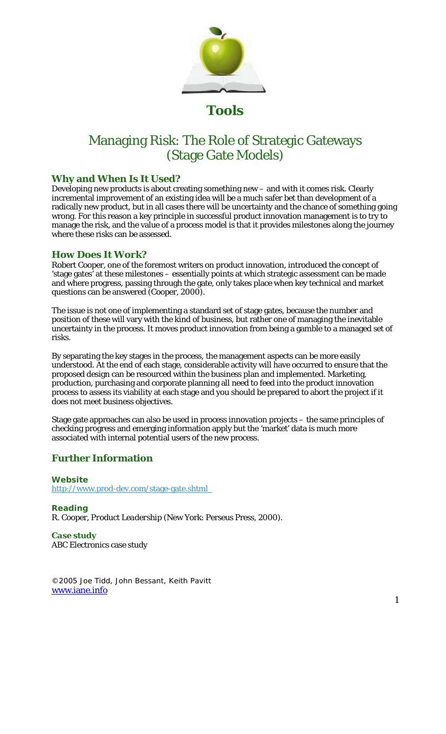

**Tools** 

## Managing Risk: The Role of Strategic Gateways (Stage Gate Models)

## **Why and When Is It Used?**

Developing new products is about creating something new – and with it comes risk. Clearly incremental improvement of an existing idea will be a much safer bet than development of a radically new product, but in all cases there will be uncertainty and the chance of something going wrong. For this reason a key principle in successful product innovation management is to try to manage the risk, and the value of a process model is that it provides milestones along the journey where these risks can be assessed.

## **How Does It Work?**

Robert Cooper, one of the foremost writers on product innovation, introduced the concept of 'stage gates' at these milestones – essentially points at which strategic assessment can be made and where progress, passing through the gate, only takes place when key technical and market questions can be answered (Cooper, 2000).

The issue is not one of implementing a standard set of stage gates, because the number and position of these will vary with the kind of business, but rather one of managing the inevitable uncertainty in the process. It moves product innovation from being a gamble to a managed set of risks.

By separating the key stages in the process, the management aspects can be more easily understood. At the end of each stage, considerable activity will have occurred to ensure that the proposed design can be resourced within the business plan and implemented. Marketing, production, purchasing and corporate planning all need to feed into the product innovation process to assess its viability at each stage and you should be prepared to abort the project if it does not meet business objectives.

Stage gate approaches can also be used in process innovation projects – the same principles of checking progress and emerging information apply but the 'market' data is much more associated with internal potential users of the new process.

## **Further Information**

*Website*  http://www.prod-dev.com/stage-gate.shtml

*Reading*  R. Cooper, *Product Leadership* (New York: Perseus Press, 2000).

*Case study*  ABC Electronics case study

©2005 Joe Tidd, John Bessant, Keith Pavitt www.iane.info